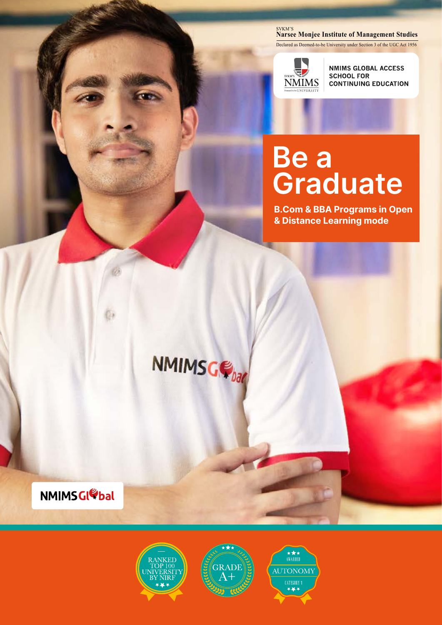#### <sub>SVKM'S</sub><br>Narsee Monjee Institute of Management Studies

Declared as Deemed-to-be University under Section 3 of the UGC Act 1956



**NMIMS GLOBAL ACCESS SCHOOL FOR CONTINUING EDUCATION** 

# **Be a Graduate**

**B.Com & BBA Programs in Open & Distance Learning mode**



**NMIMSGIODAL** 





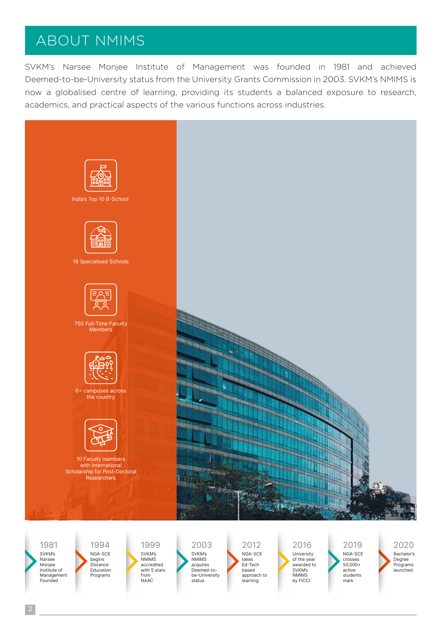## ABOUT NMIMS

SVKM's Narsee Monjee Institute of Management was founded in 1981 and achieved Deemed-to-be-University status from the University Grants Commission in 2003. SVKM's NMIMS is now a globalised centre of learning, providing its students a balanced exposure to research, academics, and practical aspects of the various functions across industries.



1981

SVKM's Narsee Monjee Institute of Management Founded

NGA-SCE begins Distance Education Programs 1994

SVKM's NMIMS accredited with 5 stars from NAAC 1999

SVKM's NMIMS acquires Deemed-tobe-University status 2003

NGA-SCE takes Ed-Tech based approach to learning 2012

University of the year awarded to SVKM's NMIMS by FICCI 2016

NGA-SCE crosses 50,000+ active students mark 2019

Bachelor's Degree Programs launched 2020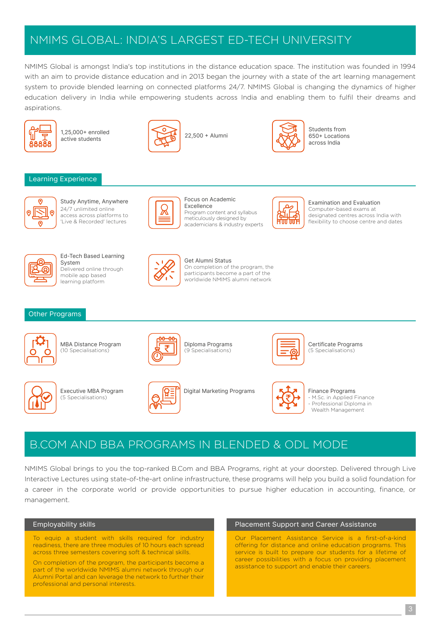### NMIMS GLOBAL: INDIA'S LARGEST ED-TECH UNIVERSITY

NMIMS Global is amongst India's top institutions in the distance education space. The institution was founded in 1994 with an aim to provide distance education and in 2013 began the journey with a state of the art learning management system to provide blended learning on connected platforms 24/7. NMIMS Global is changing the dynamics of higher education delivery in India while empowering students across India and enabling them to fulfil their dreams and aspirations.



1,25,000+ enrolled



Students from 650+ Locations across India

#### Learning Experience



Study Anytime, Anywhere 24/7 unlimited online access across platforms to 'Live & Recorded' lectures



Excellence Program content and syllabus meticulously designed by academicians & industry experts

Focus on Academic



Examination and Evaluation Computer-based exams at designated centres across India with flexibility to choose centre and dates



Ed-Tech Based Learning System Delivered online through mobile app based learning platform



Get Alumni Status On completion of the program, the participants become a part of the worldwide NMIMS alumni network

#### Other Programs



MBA Distance Program (10 Specialisations)

(5 Specialisations)





Executive MBA Program **Digital Marketing Programs** 

Diploma Programs (9 Specialisations)



Certificate Programs (5 Specialisations)

Finance Programs M.Sc. in Applied Finance Professional Diploma in Wealth Management

### B.COM AND BBA PROGRAMS IN BLENDED & ODL MODE

NMIMS Global brings to you the top-ranked B.Com and BBA Programs, right at your doorstep. Delivered through Live Interactive Lectures using state-of-the-art online infrastructure, these programs will help you build a solid foundation for a career in the corporate world or provide opportunities to pursue higher education in accounting, finance, or management.

#### Employability skills

To equip a student with skills required for industry readiness, there are three modules of 10 hours each spread across three semesters covering soft & technical skills.

On completion of the program, the participants become a part of the worldwide NMIMS alumni network through our Alumni Portal and can leverage the network to further their professional and personal interests.

#### Placement Support and Career Assistance

Our Placement Assistance Service is a first-of-a-kind offering for distance and online education programs. This service is built to prepare our students for a lifetime of career possibilities with a focus on providing placement assistance to support and enable their careers.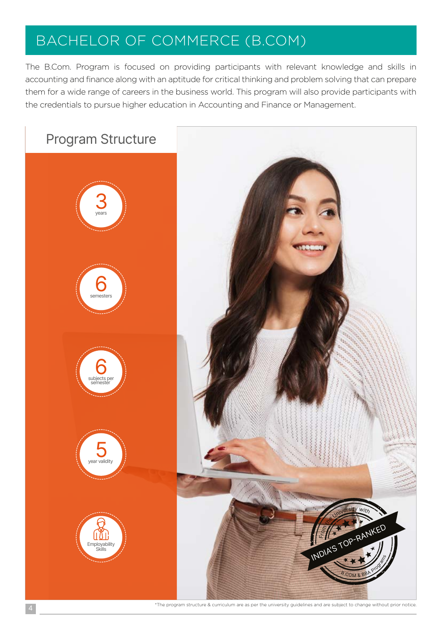## BACHELOR OF COMMERCE (B.COM)

The B.Com. Program is focused on providing participants with relevant knowledge and skills in accounting and finance along with an aptitude for critical thinking and problem solving that can prepare them for a wide range of careers in the business world. This program will also provide participants with the credentials to pursue higher education in Accounting and Finance or Management.

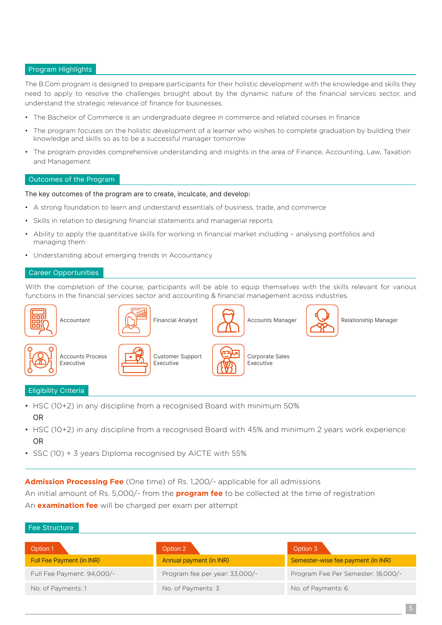#### Program Highlights

The B.Com program is designed to prepare participants for their holistic development with the knowledge and skills they need to apply to resolve the challenges brought about by the dynamic nature of the financial services sector, and understand the strategic relevance of finance for businesses.

- The Bachelor of Commerce is an undergraduate degree in commerce and related courses in finance
- The program focuses on the holistic development of a learner who wishes to complete graduation by building their knowledge and skills so as to be a successful manager tomorrow
- The program provides comprehensive understanding and insights in the area of Finance, Accounting, Law, Taxation and Management

#### Outcomes of the Program

#### The key outcomes of the program are to create, inculcate, and develop:

- A strong foundation to learn and understand essentials of business, trade, and commerce
- Skills in relation to designing financial statements and managerial reports
- Ability to apply the quantitative skills for working in financial market including analysing portfolios and managing them
- Understanding about emerging trends in Accountancy

#### Career Opportunities

With the completion of the course, participants will be able to equip themselves with the skills relevant for various functions in the financial services sector and accounting & financial management across industries.



#### Eligibility Criteria

- HSC (10+2) in any discipline from a recognised Board with minimum 50% OR
- HSC (10+2) in any discipline from a recognised Board with 45% and minimum 2 years work experience OR
- SSC (10) + 3 years Diploma recognised by AICTE with 55%

**Admission Processing Fee** (One time) of Rs. 1,200/- applicable for all admissions

An initial amount of Rs. 5,000/- from the **program fee** to be collected at the time of registration An **examination fee** will be charged per exam per attempt

#### Fee Structure

| Option 2                       | Option 3                           |
|--------------------------------|------------------------------------|
| Annual payment (in INR)        | Semester-wise fee payment (in INR) |
| Program fee per year: 33,000/- | Program Fee Per Semester: 18,000/- |
| No. of Payments: 3             | No. of Payments: 6                 |
|                                |                                    |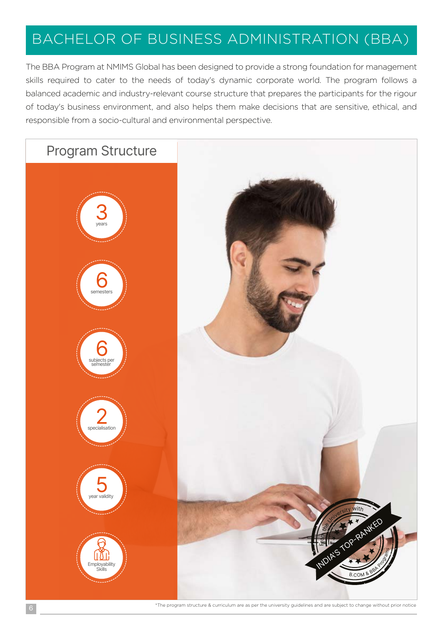# BACHELOR OF BUSINESS ADMINISTRATION (BBA)

The BBA Program at NMIMS Global has been designed to provide a strong foundation for management skills required to cater to the needs of today's dynamic corporate world. The program follows a balanced academic and industry-relevant course structure that prepares the participants for the rigour of today's business environment, and also helps them make decisions that are sensitive, ethical, and responsible from a socio-cultural and environmental perspective.



\*The program structure & curriculum are as per the university guidelines and are subject to change without prior notice 6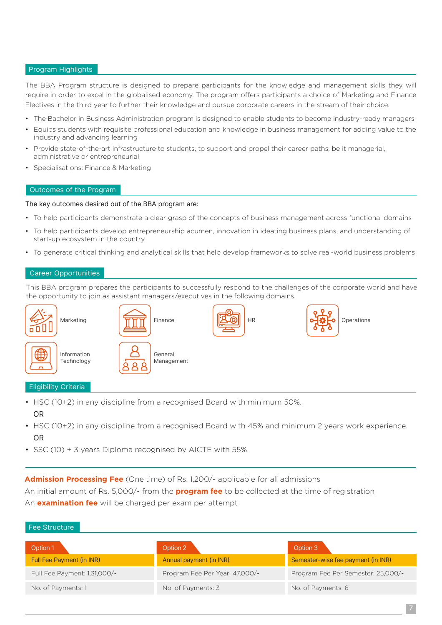#### Program Highlights

The BBA Program structure is designed to prepare participants for the knowledge and management skills they will require in order to excel in the globalised economy. The program offers participants a choice of Marketing and Finance Electives in the third year to further their knowledge and pursue corporate careers in the stream of their choice.

- The Bachelor in Business Administration program is designed to enable students to become industry-ready managers
- Equips students with requisite professional education and knowledge in business management for adding value to the industry and advancing learning
- Provide state-of-the-art infrastructure to students, to support and propel their career paths, be it managerial, administrative or entrepreneurial
- Specialisations: Finance & Marketing

#### Outcomes of the Program

#### The key outcomes desired out of the BBA program are:

- To help participants demonstrate a clear grasp of the concepts of business management across functional domains
- To help participants develop entrepreneurship acumen, innovation in ideating business plans, and understanding of start-up ecosystem in the country
- To generate critical thinking and analytical skills that help develop frameworks to solve real-world business problems

#### Career Opportunities

This BBA program prepares the participants to successfully respond to the challenges of the corporate world and have the opportunity to join as assistant managers/executives in the following domains.



#### Eligibility Criteria

Fee Structure

- HSC (10+2) in any discipline from a recognised Board with minimum 50%. OR
- HSC (10+2) in any discipline from a recognised Board with 45% and minimum 2 years work experience. OR
- SSC (10) + 3 years Diploma recognised by AICTE with 55%.

**Admission Processing Fee** (One time) of Rs. 1,200/- applicable for all admissions

An initial amount of Rs. 5,000/- from the **program fee** to be collected at the time of registration An **examination fee** will be charged per exam per attempt

| Option 1                     | Option 2                       | Option 3                           |
|------------------------------|--------------------------------|------------------------------------|
| Full Fee Payment (in INR)    | Annual payment (in INR)        | Semester-wise fee payment (in INR) |
| Full Fee Payment: 1,31,000/- | Program Fee Per Year: 47,000/- | Program Fee Per Semester: 25,000/- |
| No. of Payments: 1           | No. of Payments: 3             | No. of Payments: 6                 |
|                              |                                |                                    |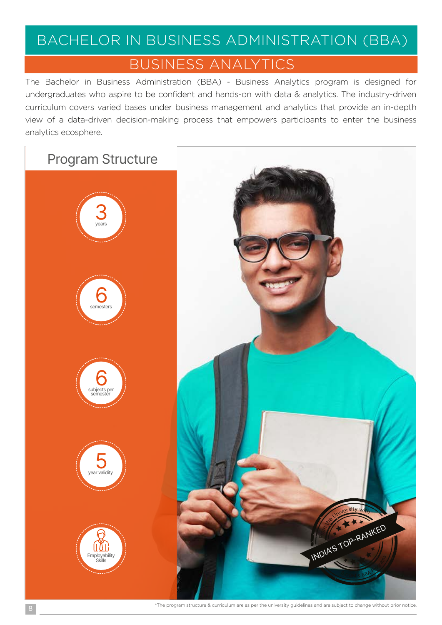## BACHELOR IN BUSINESS ADMINISTRATION (BBA)

### BUSINESS ANALYTICS

The Bachelor in Business Administration (BBA) - Business Analytics program is designed for undergraduates who aspire to be confident and hands-on with data & analytics. The industry-driven curriculum covers varied bases under business management and analytics that provide an in-depth view of a data-driven decision-making process that empowers participants to enter the business analytics ecosphere.

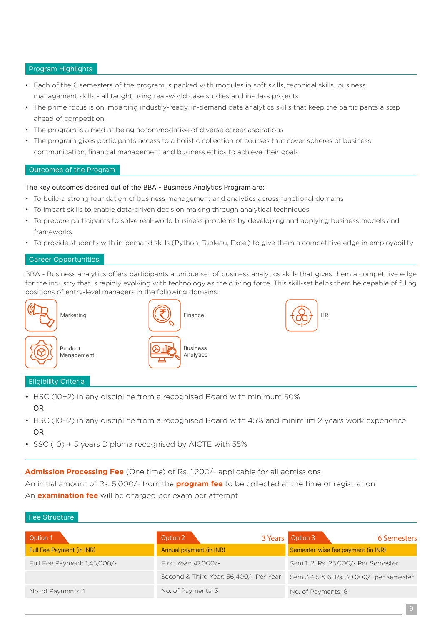#### Program Highlights

- Each of the 6 semesters of the program is packed with modules in soft skills, technical skills, business management skills - all taught using real-world case studies and in-class projects
- The prime focus is on imparting industry-ready, in-demand data analytics skills that keep the participants a step ahead of competition
- The program is aimed at being accommodative of diverse career aspirations
- The program gives participants access to a holistic collection of courses that cover spheres of business communication, financial management and business ethics to achieve their goals

#### Outcomes of the Program

#### The key outcomes desired out of the BBA - Business Analytics Program are:

- To build a strong foundation of business management and analytics across functional domains
- To impart skills to enable data-driven decision making through analytical techniques
- To prepare participants to solve real-world business problems by developing and applying business models and frameworks
- To provide students with in-demand skills (Python, Tableau, Excel) to give them a competitive edge in employability

#### Career Opportunities

BBA - Business analytics offers participants a unique set of business analytics skills that gives them a competitive edge for the industry that is rapidly evolving with technology as the driving force. This skill-set helps them be capable of filling positions of entry-level managers in the following domains:

HR





- HSC (10+2) in any discipline from a recognised Board with minimum 50% OR
- HSC (10+2) in any discipline from a recognised Board with 45% and minimum 2 years work experience OR
- SSC (10) + 3 years Diploma recognised by AICTE with 55%

**Admission Processing Fee** (One time) of Rs. 1,200/- applicable for all admissions

An initial amount of Rs. 5,000/- from the **program fee** to be collected at the time of registration An **examination fee** will be charged per exam per attempt

#### Fee Structure

| Option 1                     | Option 2<br>3 Years                    | Option 3<br>6 Semesters                  |
|------------------------------|----------------------------------------|------------------------------------------|
| Full Fee Payment (in INR)    | Annual payment (in INR)                | Semester-wise fee payment (in INR)       |
| Full Fee Payment: 1,45,000/- | First Year: 47,000/-                   | Sem 1, 2: Rs. 25,000/- Per Semester      |
|                              | Second & Third Year: 56,400/- Per Year | Sem 3,4,5 & 6: Rs. 30,000/- per semester |
| No. of Payments: 1           | No. of Payments: 3                     | No. of Payments: 6                       |